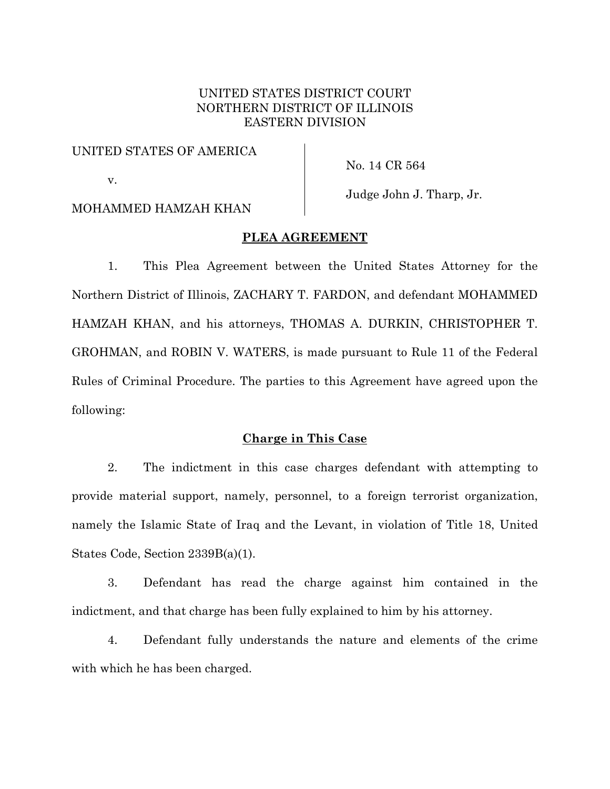# UNITED STATES DISTRICT COURT NORTHERN DISTRICT OF ILLINOIS EASTERN DIVISION

### UNITED STATES OF AMERICA

v.

No. 14 CR 564

## MOHAMMED HAMZAH KHAN

Judge John J. Tharp, Jr.

## **PLEA AGREEMENT**

1. This Plea Agreement between the United States Attorney for the Northern District of Illinois, ZACHARY T. FARDON, and defendant MOHAMMED HAMZAH KHAN, and his attorneys, THOMAS A. DURKIN, CHRISTOPHER T. GROHMAN, and ROBIN V. WATERS, is made pursuant to Rule 11 of the Federal Rules of Criminal Procedure. The parties to this Agreement have agreed upon the following:

# **Charge in This Case**

2. The indictment in this case charges defendant with attempting to provide material support, namely, personnel, to a foreign terrorist organization, namely the Islamic State of Iraq and the Levant, in violation of Title 18, United States Code, Section 2339B(a)(1).

3. Defendant has read the charge against him contained in the indictment, and that charge has been fully explained to him by his attorney.

4. Defendant fully understands the nature and elements of the crime with which he has been charged.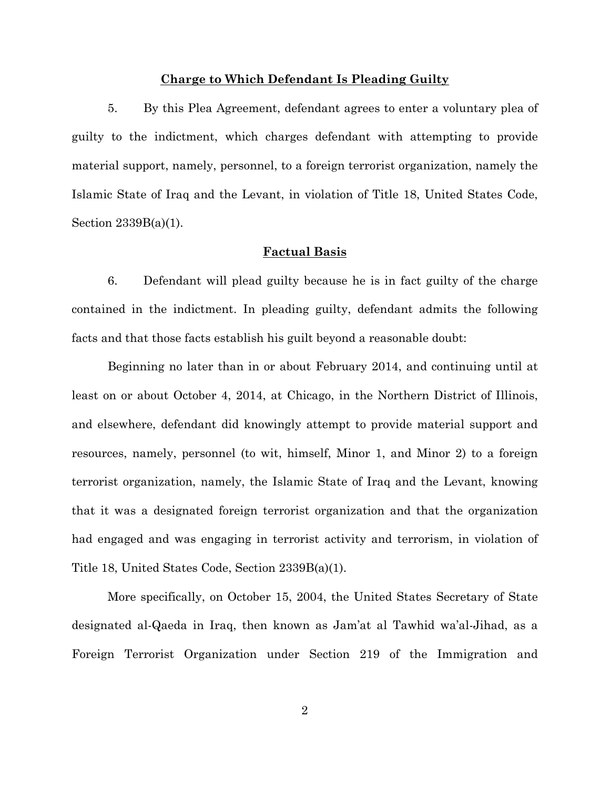#### **Charge to Which Defendant Is Pleading Guilty**

5. By this Plea Agreement, defendant agrees to enter a voluntary plea of guilty to the indictment, which charges defendant with attempting to provide material support, namely, personnel, to a foreign terrorist organization, namely the Islamic State of Iraq and the Levant, in violation of Title 18, United States Code, Section 2339B(a)(1).

#### **Factual Basis**

6. Defendant will plead guilty because he is in fact guilty of the charge contained in the indictment. In pleading guilty, defendant admits the following facts and that those facts establish his guilt beyond a reasonable doubt:

Beginning no later than in or about February 2014, and continuing until at least on or about October 4, 2014, at Chicago, in the Northern District of Illinois, and elsewhere, defendant did knowingly attempt to provide material support and resources, namely, personnel (to wit, himself, Minor 1, and Minor 2) to a foreign terrorist organization, namely, the Islamic State of Iraq and the Levant, knowing that it was a designated foreign terrorist organization and that the organization had engaged and was engaging in terrorist activity and terrorism, in violation of Title 18, United States Code, Section 2339B(a)(1).

More specifically, on October 15, 2004, the United States Secretary of State designated al-Qaeda in Iraq, then known as Jam'at al Tawhid wa'al-Jihad, as a Foreign Terrorist Organization under Section 219 of the Immigration and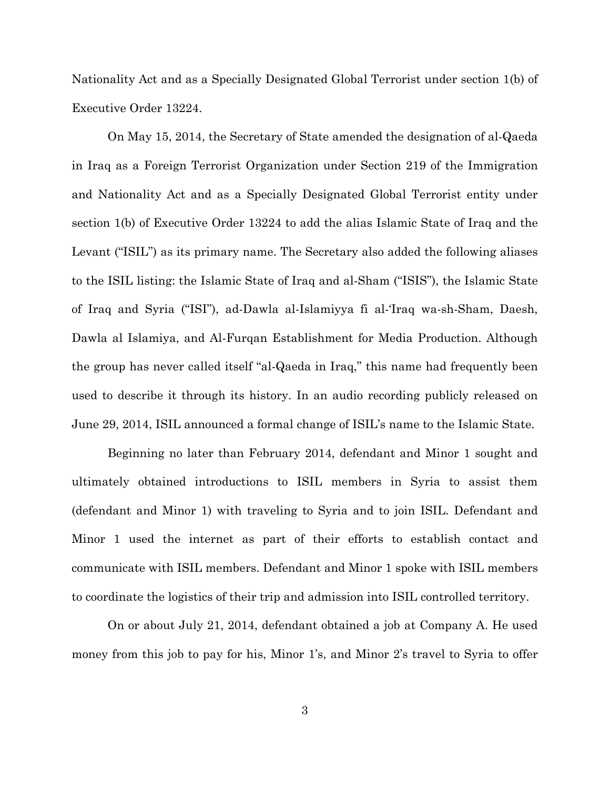Nationality Act and as a Specially Designated Global Terrorist under section 1(b) of Executive Order 13224.

On May 15, 2014, the Secretary of State amended the designation of al-Qaeda in Iraq as a Foreign Terrorist Organization under Section 219 of the Immigration and Nationality Act and as a Specially Designated Global Terrorist entity under section 1(b) of Executive Order 13224 to add the alias Islamic State of Iraq and the Levant ("ISIL") as its primary name. The Secretary also added the following aliases to the ISIL listing: the Islamic State of Iraq and al-Sham ("ISIS"), the Islamic State of Iraq and Syria ("ISI"), ad-Dawla al-Islamiyya fi al-'Iraq wa-sh-Sham, Daesh, Dawla al Islamiya, and Al-Furqan Establishment for Media Production. Although the group has never called itself "al-Qaeda in Iraq," this name had frequently been used to describe it through its history. In an audio recording publicly released on June 29, 2014, ISIL announced a formal change of ISIL's name to the Islamic State.

Beginning no later than February 2014, defendant and Minor 1 sought and ultimately obtained introductions to ISIL members in Syria to assist them (defendant and Minor 1) with traveling to Syria and to join ISIL. Defendant and Minor 1 used the internet as part of their efforts to establish contact and communicate with ISIL members. Defendant and Minor 1 spoke with ISIL members to coordinate the logistics of their trip and admission into ISIL controlled territory.

On or about July 21, 2014, defendant obtained a job at Company A. He used money from this job to pay for his, Minor 1's, and Minor 2's travel to Syria to offer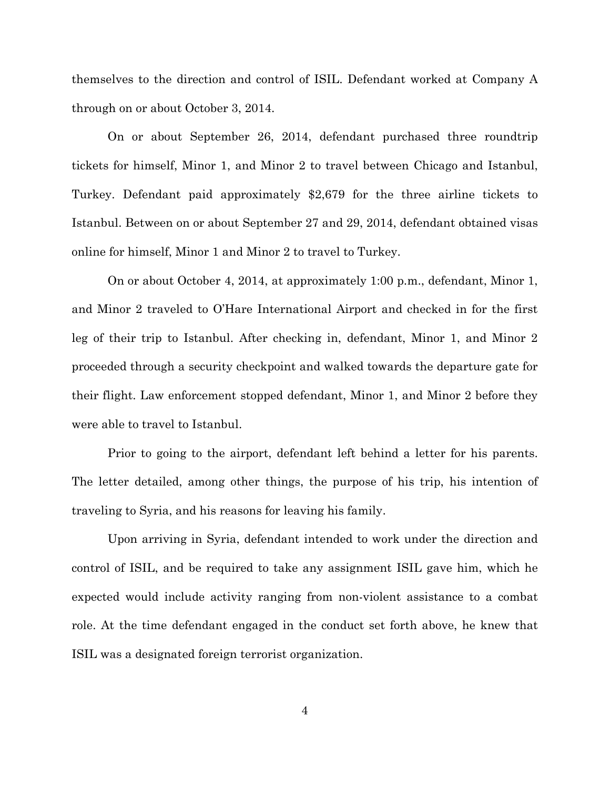themselves to the direction and control of ISIL. Defendant worked at Company A through on or about October 3, 2014.

On or about September 26, 2014, defendant purchased three roundtrip tickets for himself, Minor 1, and Minor 2 to travel between Chicago and Istanbul, Turkey. Defendant paid approximately \$2,679 for the three airline tickets to Istanbul. Between on or about September 27 and 29, 2014, defendant obtained visas online for himself, Minor 1 and Minor 2 to travel to Turkey.

On or about October 4, 2014, at approximately 1:00 p.m., defendant, Minor 1, and Minor 2 traveled to O'Hare International Airport and checked in for the first leg of their trip to Istanbul. After checking in, defendant, Minor 1, and Minor 2 proceeded through a security checkpoint and walked towards the departure gate for their flight. Law enforcement stopped defendant, Minor 1, and Minor 2 before they were able to travel to Istanbul.

Prior to going to the airport, defendant left behind a letter for his parents. The letter detailed, among other things, the purpose of his trip, his intention of traveling to Syria, and his reasons for leaving his family.

Upon arriving in Syria, defendant intended to work under the direction and control of ISIL, and be required to take any assignment ISIL gave him, which he expected would include activity ranging from non-violent assistance to a combat role. At the time defendant engaged in the conduct set forth above, he knew that ISIL was a designated foreign terrorist organization.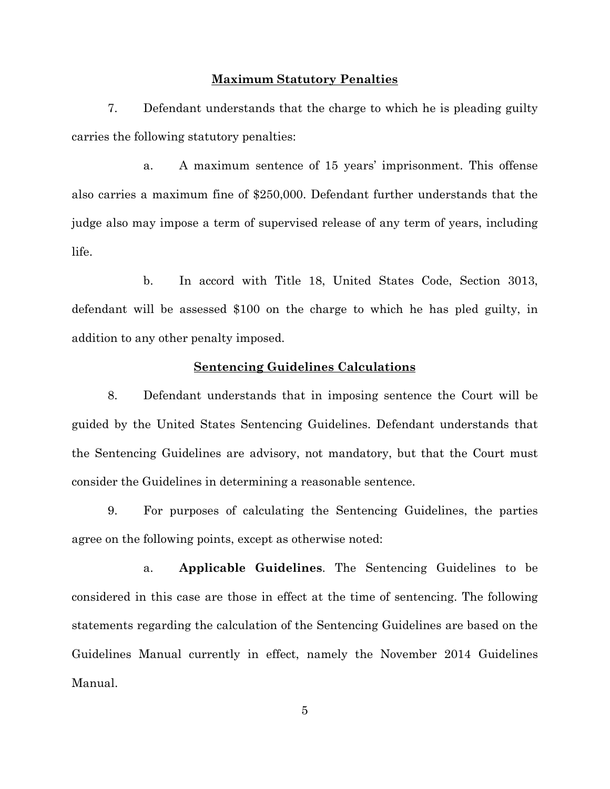#### **Maximum Statutory Penalties**

7. Defendant understands that the charge to which he is pleading guilty carries the following statutory penalties:

a. A maximum sentence of 15 years' imprisonment. This offense also carries a maximum fine of \$250,000. Defendant further understands that the judge also may impose a term of supervised release of any term of years, including life.

b. In accord with Title 18, United States Code, Section 3013, defendant will be assessed \$100 on the charge to which he has pled guilty, in addition to any other penalty imposed.

### **Sentencing Guidelines Calculations**

8. Defendant understands that in imposing sentence the Court will be guided by the United States Sentencing Guidelines. Defendant understands that the Sentencing Guidelines are advisory, not mandatory, but that the Court must consider the Guidelines in determining a reasonable sentence.

9. For purposes of calculating the Sentencing Guidelines, the parties agree on the following points, except as otherwise noted:

a. **Applicable Guidelines**. The Sentencing Guidelines to be considered in this case are those in effect at the time of sentencing. The following statements regarding the calculation of the Sentencing Guidelines are based on the Guidelines Manual currently in effect, namely the November 2014 Guidelines Manual.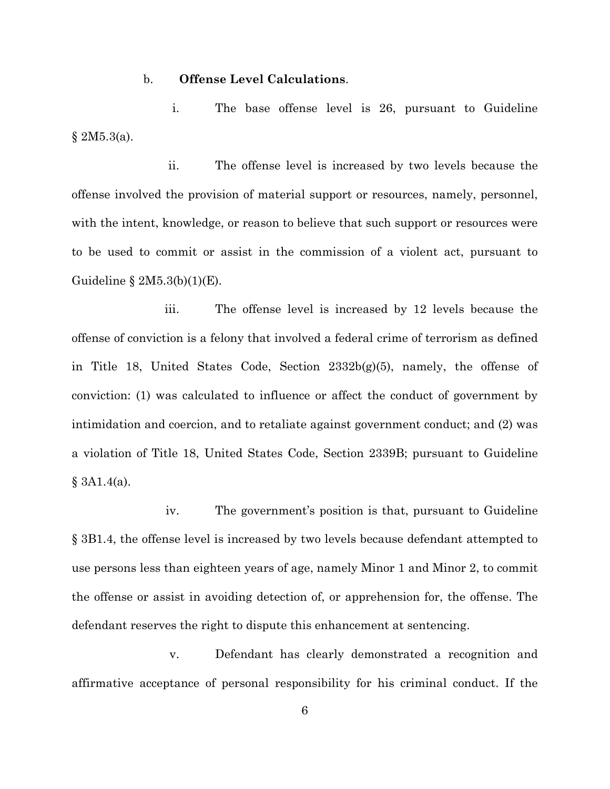#### b. **Offense Level Calculations**.

i. The base offense level is 26, pursuant to Guideline § 2M5.3(a).

ii. The offense level is increased by two levels because the offense involved the provision of material support or resources, namely, personnel, with the intent, knowledge, or reason to believe that such support or resources were to be used to commit or assist in the commission of a violent act, pursuant to Guideline  $\S 2M5.3(b)(1)(E)$ .

iii. The offense level is increased by 12 levels because the offense of conviction is a felony that involved a federal crime of terrorism as defined in Title 18, United States Code, Section 2332b(g)(5), namely, the offense of conviction: (1) was calculated to influence or affect the conduct of government by intimidation and coercion, and to retaliate against government conduct; and (2) was a violation of Title 18, United States Code, Section 2339B; pursuant to Guideline § 3A1.4(a).

iv. The government's position is that, pursuant to Guideline § 3B1.4, the offense level is increased by two levels because defendant attempted to use persons less than eighteen years of age, namely Minor 1 and Minor 2, to commit the offense or assist in avoiding detection of, or apprehension for, the offense. The defendant reserves the right to dispute this enhancement at sentencing.

v. Defendant has clearly demonstrated a recognition and affirmative acceptance of personal responsibility for his criminal conduct. If the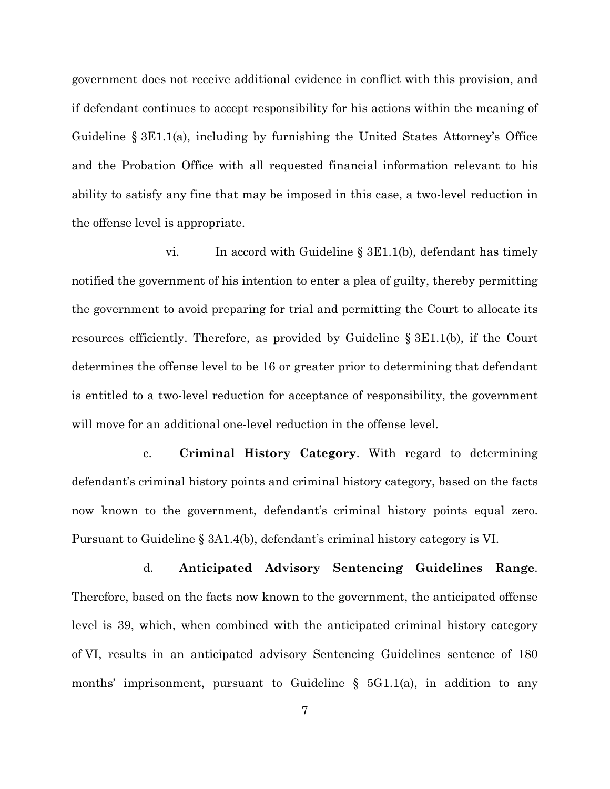government does not receive additional evidence in conflict with this provision, and if defendant continues to accept responsibility for his actions within the meaning of Guideline § 3E1.1(a), including by furnishing the United States Attorney's Office and the Probation Office with all requested financial information relevant to his ability to satisfy any fine that may be imposed in this case, a two-level reduction in the offense level is appropriate.

vi. In accord with Guideline § 3E1.1(b), defendant has timely notified the government of his intention to enter a plea of guilty, thereby permitting the government to avoid preparing for trial and permitting the Court to allocate its resources efficiently. Therefore, as provided by Guideline § 3E1.1(b), if the Court determines the offense level to be 16 or greater prior to determining that defendant is entitled to a two-level reduction for acceptance of responsibility, the government will move for an additional one-level reduction in the offense level.

c. **Criminal History Category**. With regard to determining defendant's criminal history points and criminal history category, based on the facts now known to the government, defendant's criminal history points equal zero. Pursuant to Guideline § 3A1.4(b), defendant's criminal history category is VI.

d. **Anticipated Advisory Sentencing Guidelines Range**. Therefore, based on the facts now known to the government, the anticipated offense level is 39, which, when combined with the anticipated criminal history category of VI, results in an anticipated advisory Sentencing Guidelines sentence of 180 months' imprisonment, pursuant to Guideline  $\S$  5G1.1(a), in addition to any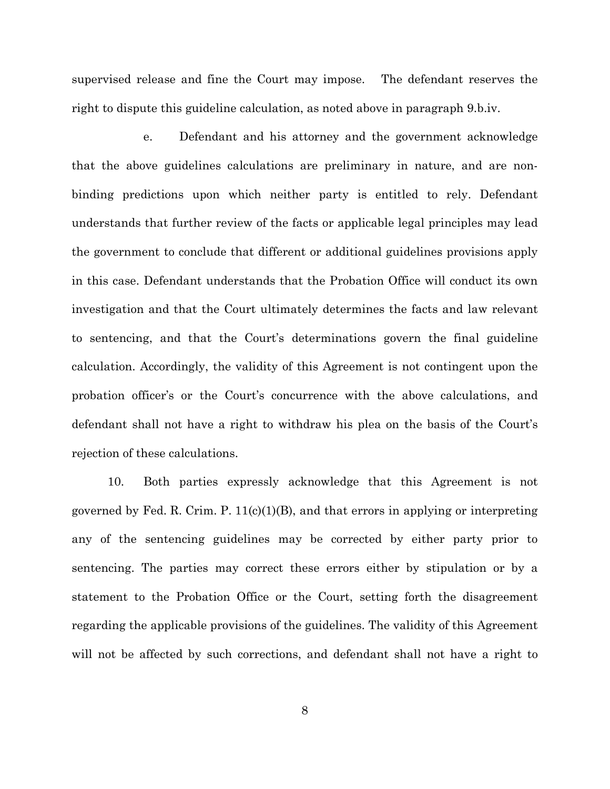supervised release and fine the Court may impose. The defendant reserves the right to dispute this guideline calculation, as noted above in paragraph 9.b.iv.

e. Defendant and his attorney and the government acknowledge that the above guidelines calculations are preliminary in nature, and are nonbinding predictions upon which neither party is entitled to rely. Defendant understands that further review of the facts or applicable legal principles may lead the government to conclude that different or additional guidelines provisions apply in this case. Defendant understands that the Probation Office will conduct its own investigation and that the Court ultimately determines the facts and law relevant to sentencing, and that the Court's determinations govern the final guideline calculation. Accordingly, the validity of this Agreement is not contingent upon the probation officer's or the Court's concurrence with the above calculations, and defendant shall not have a right to withdraw his plea on the basis of the Court's rejection of these calculations.

10. Both parties expressly acknowledge that this Agreement is not governed by Fed. R. Crim. P.  $11(c)(1)(B)$ , and that errors in applying or interpreting any of the sentencing guidelines may be corrected by either party prior to sentencing. The parties may correct these errors either by stipulation or by a statement to the Probation Office or the Court, setting forth the disagreement regarding the applicable provisions of the guidelines. The validity of this Agreement will not be affected by such corrections, and defendant shall not have a right to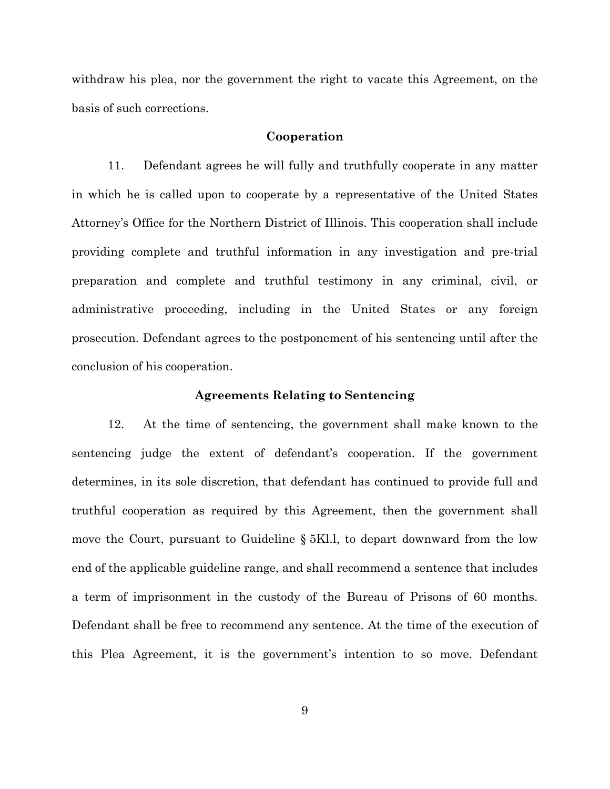withdraw his plea, nor the government the right to vacate this Agreement, on the basis of such corrections.

#### **Cooperation**

11. Defendant agrees he will fully and truthfully cooperate in any matter in which he is called upon to cooperate by a representative of the United States Attorney's Office for the Northern District of Illinois. This cooperation shall include providing complete and truthful information in any investigation and pre-trial preparation and complete and truthful testimony in any criminal, civil, or administrative proceeding, including in the United States or any foreign prosecution. Defendant agrees to the postponement of his sentencing until after the conclusion of his cooperation.

#### **Agreements Relating to Sentencing**

12. At the time of sentencing, the government shall make known to the sentencing judge the extent of defendant's cooperation. If the government determines, in its sole discretion, that defendant has continued to provide full and truthful cooperation as required by this Agreement, then the government shall move the Court, pursuant to Guideline § 5Kl.l, to depart downward from the low end of the applicable guideline range, and shall recommend a sentence that includes a term of imprisonment in the custody of the Bureau of Prisons of 60 months. Defendant shall be free to recommend any sentence. At the time of the execution of this Plea Agreement, it is the government's intention to so move. Defendant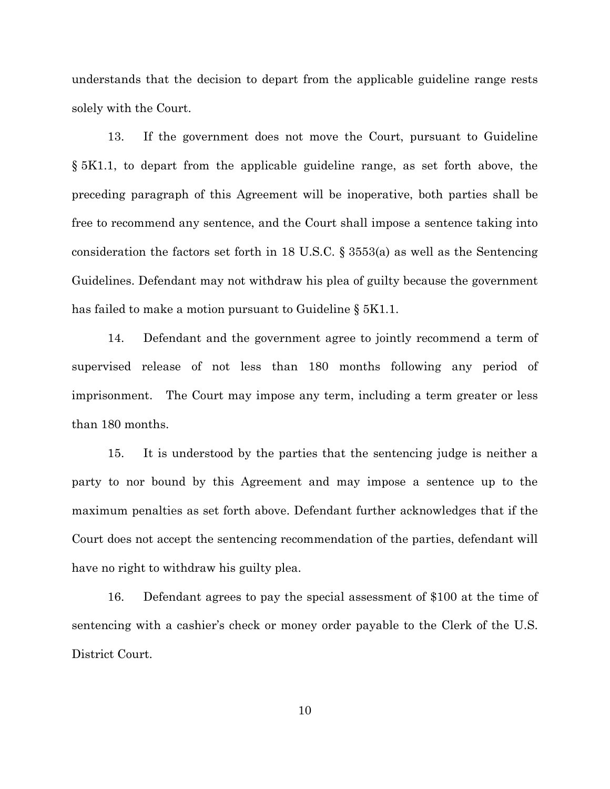understands that the decision to depart from the applicable guideline range rests solely with the Court.

13. If the government does not move the Court, pursuant to Guideline § 5K1.1, to depart from the applicable guideline range, as set forth above, the preceding paragraph of this Agreement will be inoperative, both parties shall be free to recommend any sentence, and the Court shall impose a sentence taking into consideration the factors set forth in 18 U.S.C. § 3553(a) as well as the Sentencing Guidelines. Defendant may not withdraw his plea of guilty because the government has failed to make a motion pursuant to Guideline § 5K1.1.

14. Defendant and the government agree to jointly recommend a term of supervised release of not less than 180 months following any period of imprisonment. The Court may impose any term, including a term greater or less than 180 months.

15. It is understood by the parties that the sentencing judge is neither a party to nor bound by this Agreement and may impose a sentence up to the maximum penalties as set forth above. Defendant further acknowledges that if the Court does not accept the sentencing recommendation of the parties, defendant will have no right to withdraw his guilty plea.

16. Defendant agrees to pay the special assessment of \$100 at the time of sentencing with a cashier's check or money order payable to the Clerk of the U.S. District Court.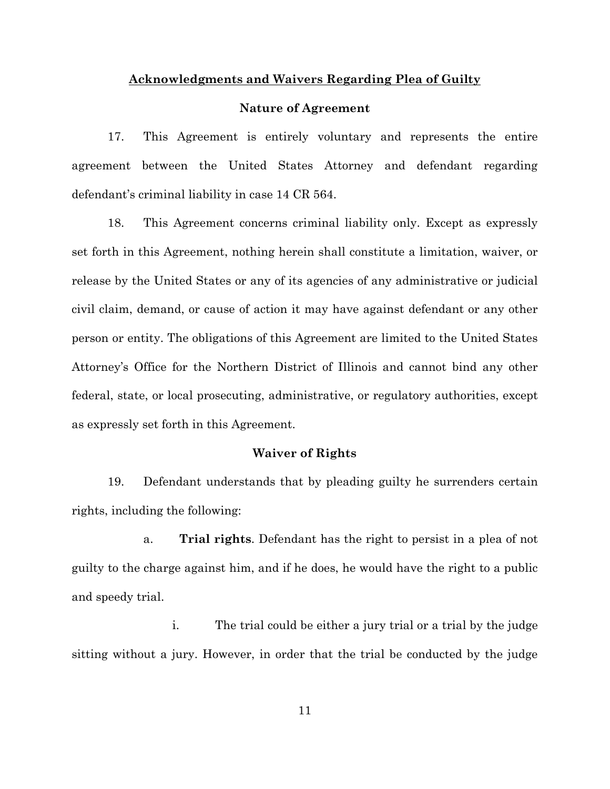#### **Acknowledgments and Waivers Regarding Plea of Guilty**

#### **Nature of Agreement**

17. This Agreement is entirely voluntary and represents the entire agreement between the United States Attorney and defendant regarding defendant's criminal liability in case 14 CR 564.

18. This Agreement concerns criminal liability only. Except as expressly set forth in this Agreement, nothing herein shall constitute a limitation, waiver, or release by the United States or any of its agencies of any administrative or judicial civil claim, demand, or cause of action it may have against defendant or any other person or entity. The obligations of this Agreement are limited to the United States Attorney's Office for the Northern District of Illinois and cannot bind any other federal, state, or local prosecuting, administrative, or regulatory authorities, except as expressly set forth in this Agreement.

#### **Waiver of Rights**

19. Defendant understands that by pleading guilty he surrenders certain rights, including the following:

a. **Trial rights**. Defendant has the right to persist in a plea of not guilty to the charge against him, and if he does, he would have the right to a public and speedy trial.

i. The trial could be either a jury trial or a trial by the judge sitting without a jury. However, in order that the trial be conducted by the judge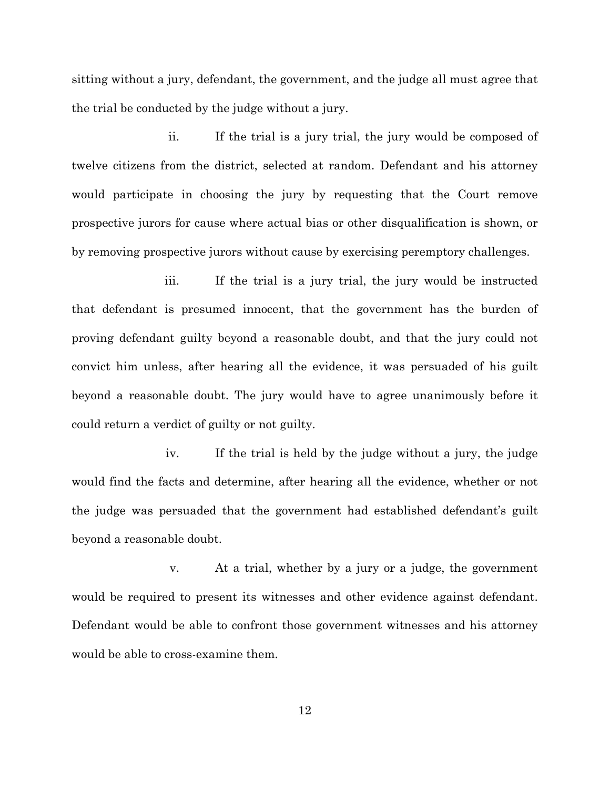sitting without a jury, defendant, the government, and the judge all must agree that the trial be conducted by the judge without a jury.

ii. If the trial is a jury trial, the jury would be composed of twelve citizens from the district, selected at random. Defendant and his attorney would participate in choosing the jury by requesting that the Court remove prospective jurors for cause where actual bias or other disqualification is shown, or by removing prospective jurors without cause by exercising peremptory challenges.

iii. If the trial is a jury trial, the jury would be instructed that defendant is presumed innocent, that the government has the burden of proving defendant guilty beyond a reasonable doubt, and that the jury could not convict him unless, after hearing all the evidence, it was persuaded of his guilt beyond a reasonable doubt. The jury would have to agree unanimously before it could return a verdict of guilty or not guilty.

iv. If the trial is held by the judge without a jury, the judge would find the facts and determine, after hearing all the evidence, whether or not the judge was persuaded that the government had established defendant's guilt beyond a reasonable doubt.

v. At a trial, whether by a jury or a judge, the government would be required to present its witnesses and other evidence against defendant. Defendant would be able to confront those government witnesses and his attorney would be able to cross-examine them.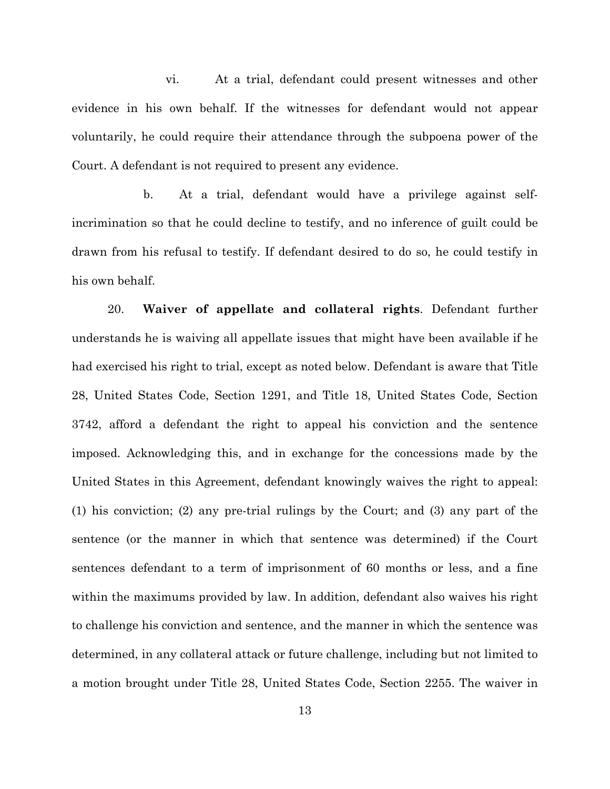vi. At a trial, defendant could present witnesses and other evidence in his own behalf. If the witnesses for defendant would not appear voluntarily, he could require their attendance through the subpoena power of the Court. A defendant is not required to present any evidence.

b. At a trial, defendant would have a privilege against selfincrimination so that he could decline to testify, and no inference of guilt could be drawn from his refusal to testify. If defendant desired to do so, he could testify in his own behalf.

20. **Waiver of appellate and collateral rights**. Defendant further understands he is waiving all appellate issues that might have been available if he had exercised his right to trial, except as noted below. Defendant is aware that Title 28, United States Code, Section 1291, and Title 18, United States Code, Section 3742, afford a defendant the right to appeal his conviction and the sentence imposed. Acknowledging this, and in exchange for the concessions made by the United States in this Agreement, defendant knowingly waives the right to appeal: (1) his conviction; (2) any pre-trial rulings by the Court; and (3) any part of the sentence (or the manner in which that sentence was determined) if the Court sentences defendant to a term of imprisonment of 60 months or less, and a fine within the maximums provided by law. In addition, defendant also waives his right to challenge his conviction and sentence, and the manner in which the sentence was determined, in any collateral attack or future challenge, including but not limited to a motion brought under Title 28, United States Code, Section 2255. The waiver in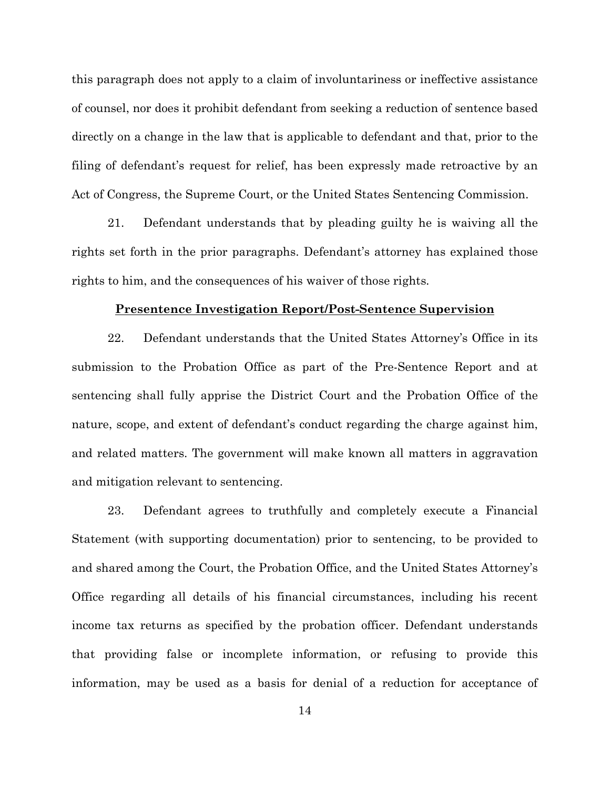this paragraph does not apply to a claim of involuntariness or ineffective assistance of counsel, nor does it prohibit defendant from seeking a reduction of sentence based directly on a change in the law that is applicable to defendant and that, prior to the filing of defendant's request for relief, has been expressly made retroactive by an Act of Congress, the Supreme Court, or the United States Sentencing Commission.

21. Defendant understands that by pleading guilty he is waiving all the rights set forth in the prior paragraphs. Defendant's attorney has explained those rights to him, and the consequences of his waiver of those rights.

#### **Presentence Investigation Report/Post-Sentence Supervision**

22. Defendant understands that the United States Attorney's Office in its submission to the Probation Office as part of the Pre-Sentence Report and at sentencing shall fully apprise the District Court and the Probation Office of the nature, scope, and extent of defendant's conduct regarding the charge against him, and related matters. The government will make known all matters in aggravation and mitigation relevant to sentencing.

23. Defendant agrees to truthfully and completely execute a Financial Statement (with supporting documentation) prior to sentencing, to be provided to and shared among the Court, the Probation Office, and the United States Attorney's Office regarding all details of his financial circumstances, including his recent income tax returns as specified by the probation officer. Defendant understands that providing false or incomplete information, or refusing to provide this information, may be used as a basis for denial of a reduction for acceptance of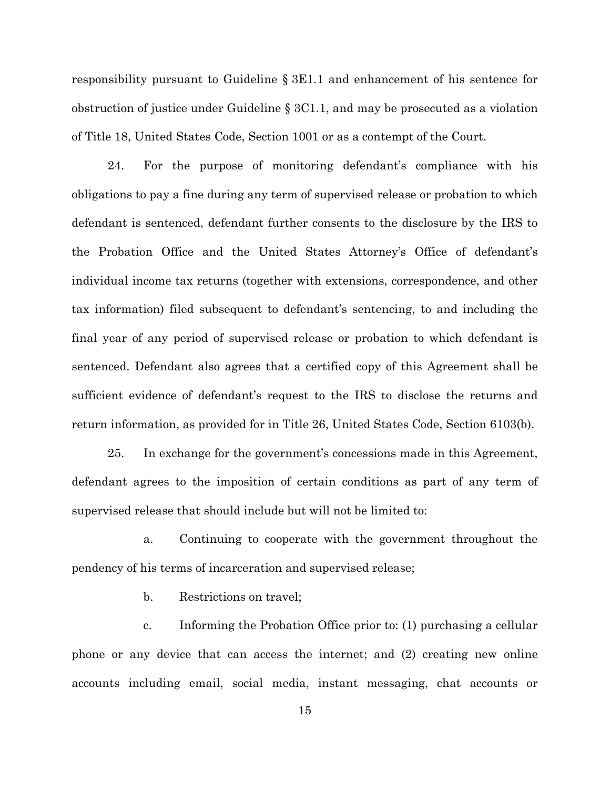responsibility pursuant to Guideline § 3E1.1 and enhancement of his sentence for obstruction of justice under Guideline § 3C1.1, and may be prosecuted as a violation of Title 18, United States Code, Section 1001 or as a contempt of the Court.

24. For the purpose of monitoring defendant's compliance with his obligations to pay a fine during any term of supervised release or probation to which defendant is sentenced, defendant further consents to the disclosure by the IRS to the Probation Office and the United States Attorney's Office of defendant's individual income tax returns (together with extensions, correspondence, and other tax information) filed subsequent to defendant's sentencing, to and including the final year of any period of supervised release or probation to which defendant is sentenced. Defendant also agrees that a certified copy of this Agreement shall be sufficient evidence of defendant's request to the IRS to disclose the returns and return information, as provided for in Title 26, United States Code, Section 6103(b).

25. In exchange for the government's concessions made in this Agreement, defendant agrees to the imposition of certain conditions as part of any term of supervised release that should include but will not be limited to:

a. Continuing to cooperate with the government throughout the pendency of his terms of incarceration and supervised release;

b. Restrictions on travel;

c. Informing the Probation Office prior to: (1) purchasing a cellular phone or any device that can access the internet; and (2) creating new online accounts including email, social media, instant messaging, chat accounts or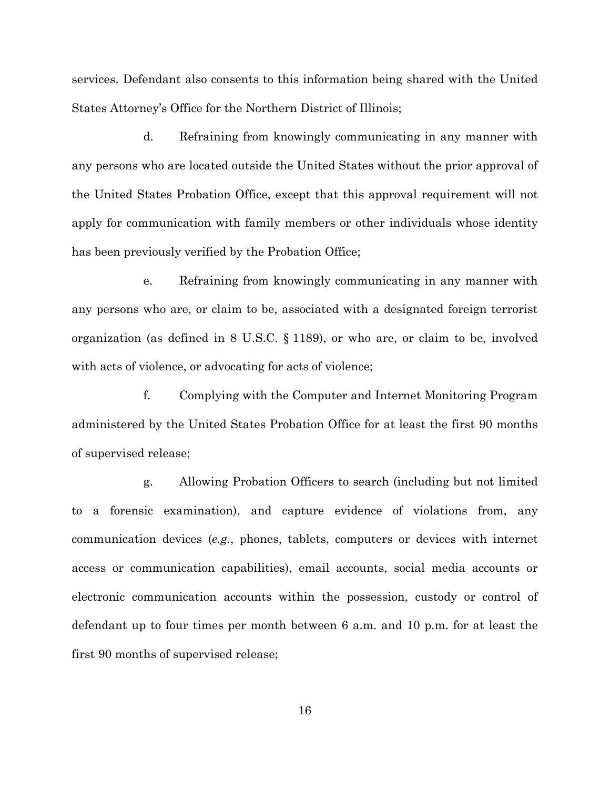services. Defendant also consents to this information being shared with the United States Attorney's Office for the Northern District of Illinois;

d. Refraining from knowingly communicating in any manner with any persons who are located outside the United States without the prior approval of the United States Probation Office, except that this approval requirement will not apply for communication with family members or other individuals whose identity has been previously verified by the Probation Office;

e. Refraining from knowingly communicating in any manner with any persons who are, or claim to be, associated with a designated foreign terrorist organization (as defined in 8 U.S.C. § 1189), or who are, or claim to be, involved with acts of violence, or advocating for acts of violence;

f. Complying with the Computer and Internet Monitoring Program administered by the United States Probation Office for at least the first 90 months of supervised release;

g. Allowing Probation Officers to search (including but not limited to a forensic examination), and capture evidence of violations from, any communication devices (*e.g.*, phones, tablets, computers or devices with internet access or communication capabilities), email accounts, social media accounts or electronic communication accounts within the possession, custody or control of defendant up to four times per month between 6 a.m. and 10 p.m. for at least the first 90 months of supervised release;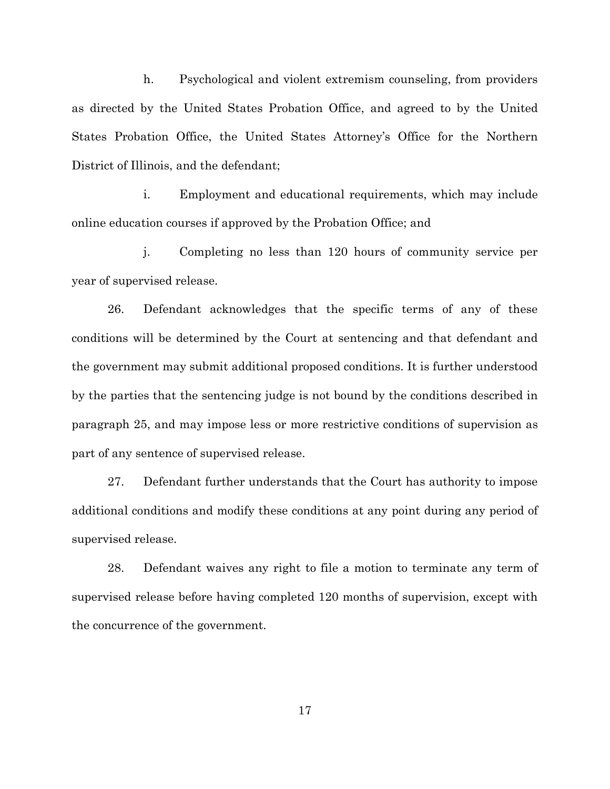h. Psychological and violent extremism counseling, from providers as directed by the United States Probation Office, and agreed to by the United States Probation Office, the United States Attorney's Office for the Northern District of Illinois, and the defendant;

i. Employment and educational requirements, which may include online education courses if approved by the Probation Office; and

j. Completing no less than 120 hours of community service per year of supervised release.

26. Defendant acknowledges that the specific terms of any of these conditions will be determined by the Court at sentencing and that defendant and the government may submit additional proposed conditions. It is further understood by the parties that the sentencing judge is not bound by the conditions described in paragraph 25, and may impose less or more restrictive conditions of supervision as part of any sentence of supervised release.

27. Defendant further understands that the Court has authority to impose additional conditions and modify these conditions at any point during any period of supervised release.

28. Defendant waives any right to file a motion to terminate any term of supervised release before having completed 120 months of supervision, except with the concurrence of the government.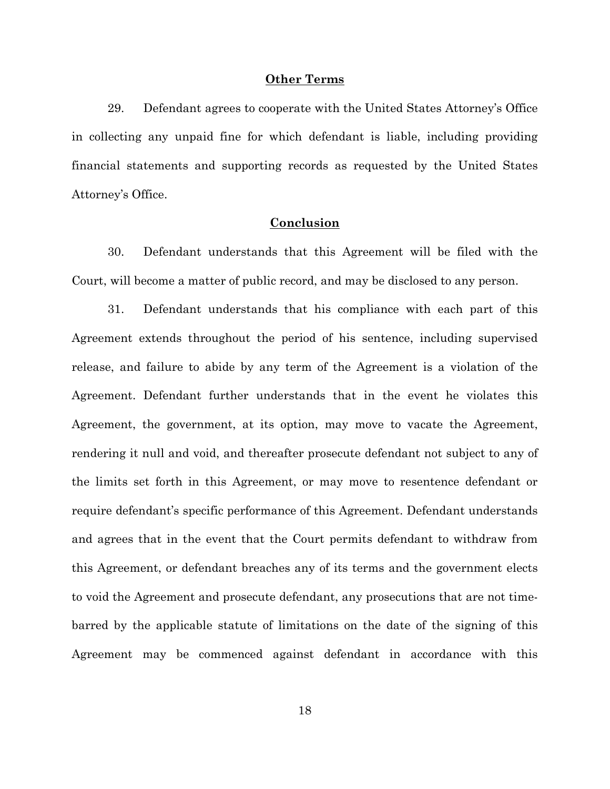#### **Other Terms**

29. Defendant agrees to cooperate with the United States Attorney's Office in collecting any unpaid fine for which defendant is liable, including providing financial statements and supporting records as requested by the United States Attorney's Office.

### **Conclusion**

30. Defendant understands that this Agreement will be filed with the Court, will become a matter of public record, and may be disclosed to any person.

31. Defendant understands that his compliance with each part of this Agreement extends throughout the period of his sentence, including supervised release, and failure to abide by any term of the Agreement is a violation of the Agreement. Defendant further understands that in the event he violates this Agreement, the government, at its option, may move to vacate the Agreement, rendering it null and void, and thereafter prosecute defendant not subject to any of the limits set forth in this Agreement, or may move to resentence defendant or require defendant's specific performance of this Agreement. Defendant understands and agrees that in the event that the Court permits defendant to withdraw from this Agreement, or defendant breaches any of its terms and the government elects to void the Agreement and prosecute defendant, any prosecutions that are not timebarred by the applicable statute of limitations on the date of the signing of this Agreement may be commenced against defendant in accordance with this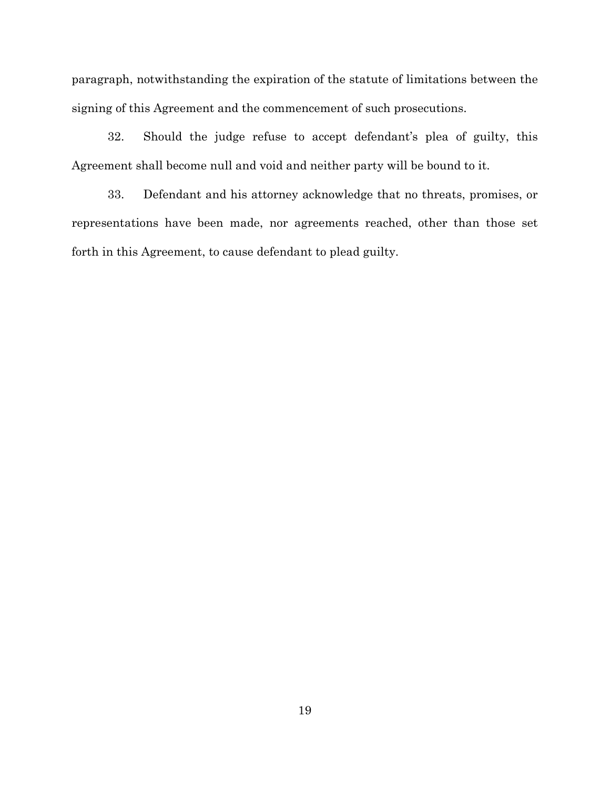paragraph, notwithstanding the expiration of the statute of limitations between the signing of this Agreement and the commencement of such prosecutions.

32. Should the judge refuse to accept defendant's plea of guilty, this Agreement shall become null and void and neither party will be bound to it.

33. Defendant and his attorney acknowledge that no threats, promises, or representations have been made, nor agreements reached, other than those set forth in this Agreement, to cause defendant to plead guilty.